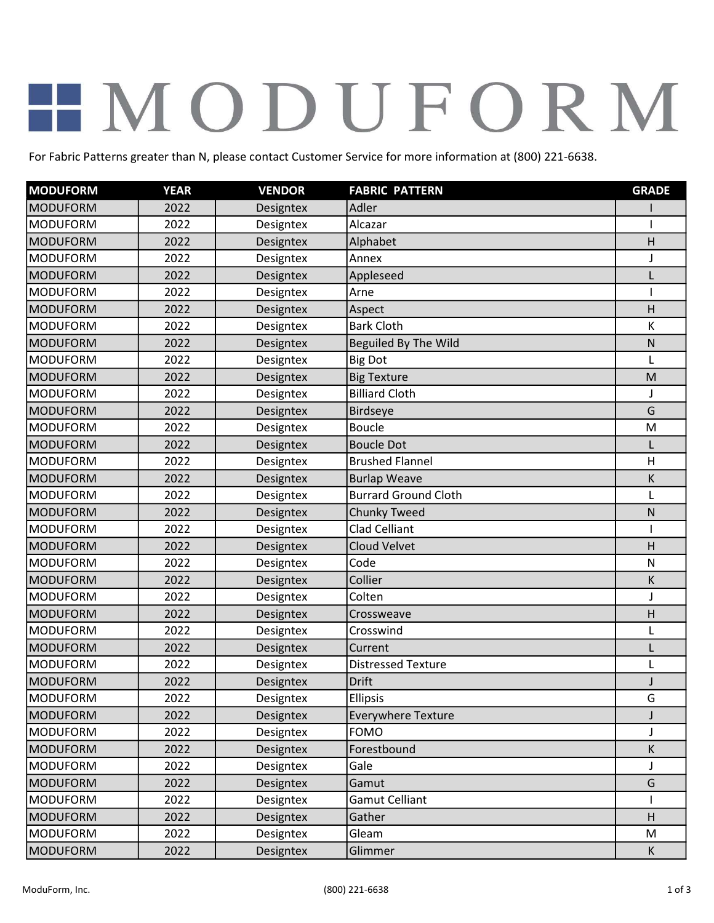## HMODUFORM

For Fabric Patterns greater than N, please contact Customer Service for more information at (800) 221-6638.

| <b>MODUFORM</b> | <b>YEAR</b> | <b>VENDOR</b> | <b>FABRIC PATTERN</b>       | <b>GRADE</b> |
|-----------------|-------------|---------------|-----------------------------|--------------|
| <b>MODUFORM</b> | 2022        | Designtex     | Adler                       |              |
| <b>MODUFORM</b> | 2022        | Designtex     | Alcazar                     |              |
| <b>MODUFORM</b> | 2022        | Designtex     | Alphabet                    | н            |
| <b>MODUFORM</b> | 2022        | Designtex     | Annex                       | J            |
| <b>MODUFORM</b> | 2022        | Designtex     | Appleseed                   |              |
| <b>MODUFORM</b> | 2022        | Designtex     | Arne                        |              |
| <b>MODUFORM</b> | 2022        | Designtex     | Aspect                      | Н            |
| <b>MODUFORM</b> | 2022        | Designtex     | <b>Bark Cloth</b>           | К            |
| <b>MODUFORM</b> | 2022        | Designtex     | <b>Beguiled By The Wild</b> | Ν            |
| <b>MODUFORM</b> | 2022        | Designtex     | <b>Big Dot</b>              | $\mathsf{I}$ |
| <b>MODUFORM</b> | 2022        | Designtex     | <b>Big Texture</b>          | M            |
| <b>MODUFORM</b> | 2022        | Designtex     | <b>Billiard Cloth</b>       | J            |
| <b>MODUFORM</b> | 2022        | Designtex     | <b>Birdseye</b>             | G            |
| <b>MODUFORM</b> | 2022        | Designtex     | <b>Boucle</b>               | M            |
| <b>MODUFORM</b> | 2022        | Designtex     | <b>Boucle Dot</b>           |              |
| <b>MODUFORM</b> | 2022        | Designtex     | <b>Brushed Flannel</b>      | Η            |
| <b>MODUFORM</b> | 2022        | Designtex     | <b>Burlap Weave</b>         | К            |
| <b>MODUFORM</b> | 2022        | Designtex     | <b>Burrard Ground Cloth</b> |              |
| <b>MODUFORM</b> | 2022        | Designtex     | <b>Chunky Tweed</b>         | Ν            |
| <b>MODUFORM</b> | 2022        | Designtex     | <b>Clad Celliant</b>        |              |
| <b>MODUFORM</b> | 2022        | Designtex     | <b>Cloud Velvet</b>         | Н            |
| <b>MODUFORM</b> | 2022        | Designtex     | Code                        | N            |
| <b>MODUFORM</b> | 2022        | Designtex     | Collier                     | К            |
| <b>MODUFORM</b> | 2022        | Designtex     | Colten                      | J            |
| <b>MODUFORM</b> | 2022        | Designtex     | Crossweave                  | Н            |
| <b>MODUFORM</b> | 2022        | Designtex     | Crosswind                   | L            |
| <b>MODUFORM</b> | 2022        | Designtex     | Current                     |              |
| <b>MODUFORM</b> | 2022        | Designtex     | <b>Distressed Texture</b>   | $\mathbf{I}$ |
| <b>MODUFORM</b> | 2022        | Designtex     | Drift                       |              |
| <b>MODUFORM</b> | 2022        | Designtex     | <b>Ellipsis</b>             | G            |
| <b>MODUFORM</b> | 2022        | Designtex     | <b>Everywhere Texture</b>   | J            |
| <b>MODUFORM</b> | 2022        | Designtex     | <b>FOMO</b>                 | J            |
| <b>MODUFORM</b> | 2022        | Designtex     | Forestbound                 | К            |
| <b>MODUFORM</b> | 2022        | Designtex     | Gale                        | J            |
| <b>MODUFORM</b> | 2022        | Designtex     | Gamut                       | G            |
| <b>MODUFORM</b> | 2022        | Designtex     | <b>Gamut Celliant</b>       |              |
| <b>MODUFORM</b> | 2022        | Designtex     | Gather                      | H            |
| <b>MODUFORM</b> | 2022        | Designtex     | Gleam                       | M            |
| <b>MODUFORM</b> | 2022        | Designtex     | Glimmer                     | K            |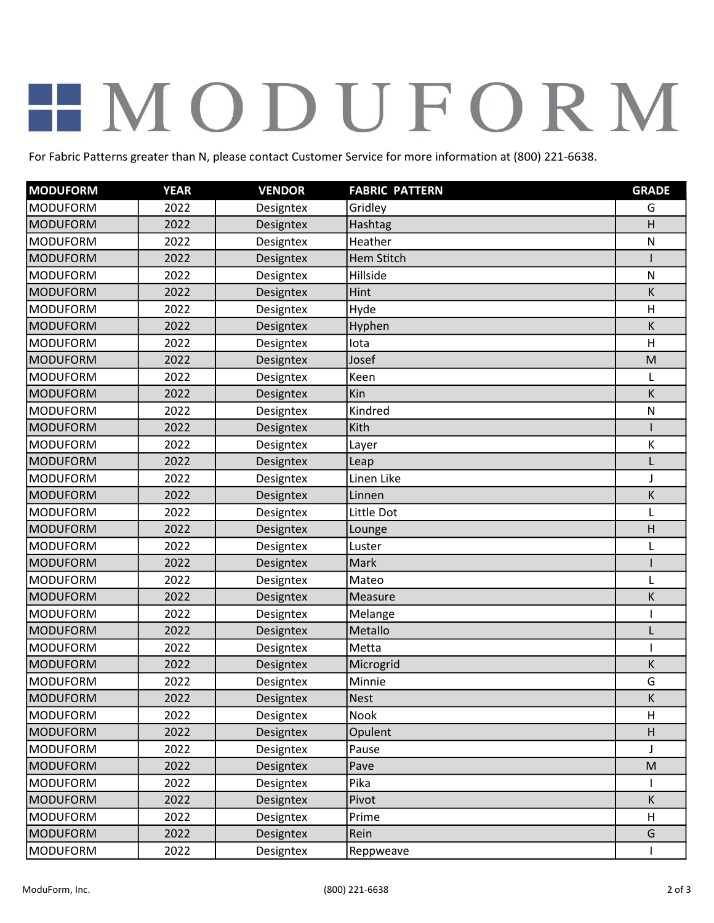## HMODUFORM

For Fabric Patterns greater than N, please contact Customer Service for more information at (800) 221-6638.

| <b>MODUFORM</b> | <b>YEAR</b> | <b>VENDOR</b> | <b>FABRIC PATTERN</b> | <b>GRADE</b> |
|-----------------|-------------|---------------|-----------------------|--------------|
| <b>MODUFORM</b> | 2022        | Designtex     | Gridley               | G            |
| <b>MODUFORM</b> | 2022        | Designtex     | Hashtag               | H            |
| <b>MODUFORM</b> | 2022        | Designtex     | Heather               | N            |
| <b>MODUFORM</b> | 2022        | Designtex     | Hem Stitch            |              |
| <b>MODUFORM</b> | 2022        | Designtex     | Hillside              | N            |
| <b>MODUFORM</b> | 2022        | Designtex     | Hint                  | К            |
| <b>MODUFORM</b> | 2022        | Designtex     | Hyde                  | $\mathsf{H}$ |
| <b>MODUFORM</b> | 2022        | Designtex     | Hyphen                | К            |
| <b>MODUFORM</b> | 2022        | Designtex     | lota                  | H            |
| <b>MODUFORM</b> | 2022        | Designtex     | Josef                 | M            |
| <b>MODUFORM</b> | 2022        | Designtex     | Keen                  | L            |
| <b>MODUFORM</b> | 2022        | Designtex     | Kin                   | К            |
| <b>MODUFORM</b> | 2022        | Designtex     | Kindred               | $\mathsf{N}$ |
| <b>MODUFORM</b> | 2022        | Designtex     | Kith                  |              |
| <b>MODUFORM</b> | 2022        | Designtex     | Layer                 | Κ            |
| <b>MODUFORM</b> | 2022        | Designtex     | Leap                  | L            |
| <b>MODUFORM</b> | 2022        | Designtex     | Linen Like            | J            |
| <b>MODUFORM</b> | 2022        | Designtex     | Linnen                | Κ            |
| <b>MODUFORM</b> | 2022        | Designtex     | Little Dot            |              |
| <b>MODUFORM</b> | 2022        | Designtex     | Lounge                | Н            |
| <b>MODUFORM</b> | 2022        | Designtex     | Luster                | L            |
| <b>MODUFORM</b> | 2022        | Designtex     | Mark                  |              |
| <b>MODUFORM</b> | 2022        | Designtex     | Mateo                 | L            |
| <b>MODUFORM</b> | 2022        | Designtex     | Measure               | K            |
| <b>MODUFORM</b> | 2022        | Designtex     | Melange               |              |
| <b>MODUFORM</b> | 2022        | Designtex     | Metallo               | L            |
| <b>MODUFORM</b> | 2022        | Designtex     | Metta                 |              |
| <b>MODUFORM</b> | 2022        | Designtex     | Microgrid             | Κ            |
| <b>MODUFORM</b> | 2022        | Designtex     | Minnie                | G            |
| <b>MODUFORM</b> | 2022        | Designtex     | <b>Nest</b>           | K            |
| <b>MODUFORM</b> | 2022        | Designtex     | Nook                  | H            |
| <b>MODUFORM</b> | 2022        | Designtex     | Opulent               | H            |
| <b>MODUFORM</b> | 2022        | Designtex     | Pause                 | J            |
| <b>MODUFORM</b> | 2022        | Designtex     | Pave                  | M            |
| <b>MODUFORM</b> | 2022        | Designtex     | Pika                  |              |
| <b>MODUFORM</b> | 2022        | Designtex     | Pivot                 | K            |
| <b>MODUFORM</b> | 2022        | Designtex     | Prime                 | H            |
| <b>MODUFORM</b> | 2022        | Designtex     | Rein                  | G            |
| <b>MODUFORM</b> | 2022        | Designtex     | Reppweave             |              |